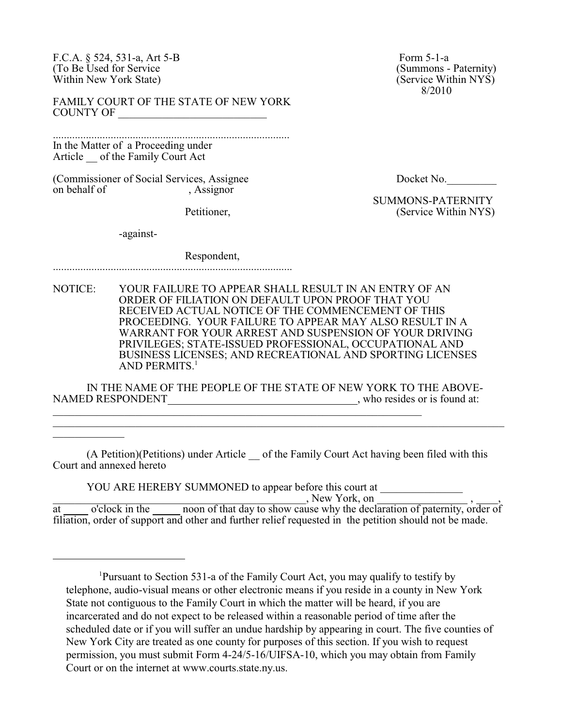F.C.A. § 524, 531-a, Art 5-B<br>
(To Be Used for Service (Summons - Paternity) (To Be Used for Service (Summons - Paternity)<br>
Within New York State) (Service Within NYS) Within New York State)

FAMILY COURT OF THE STATE OF NEW YORK COUNTY OF \_\_\_\_\_\_\_\_\_\_\_\_\_\_\_\_\_\_\_\_\_\_\_\_\_\_\_

...................................................................................... In the Matter of a Proceeding under Article of the Family Court Act

(Commissioner of Social Services, Assignee Docket No. on behalf of the same contact Assignor

8/2010

 SUMMONS-PATERNITY Petitioner, (Service Within NYS)

-against-

 $\mathcal{L}_\text{max}$  . The set of the set of the set of the set of the set of the set of the set of the set of the set of the set of the set of the set of the set of the set of the set of the set of the set of the set of the set

## Respondent,

.......................................................................................

NOTICE: YOUR FAILURE TO APPEAR SHALL RESULT IN AN ENTRY OF AN ORDER OF FILIATION ON DEFAULT UPON PROOF THAT YOU RECEIVED ACTUAL NOTICE OF THE COMMENCEMENT OF THIS PROCEEDING. YOUR FAILURE TO APPEAR MAY ALSO RESULT IN A WARRANT FOR YOUR ARREST AND SUSPENSION OF YOUR DRIVING PRIVILEGES; STATE-ISSUED PROFESSIONAL, OCCUPATIONAL AND BUSINESS LICENSES; AND RECREATIONAL AND SPORTING LICENSES AND PERMITS.<sup>1</sup>

IN THE NAME OF THE PEOPLE OF THE STATE OF NEW YORK TO THE ABOVE-NAMED RESPONDENT , who resides or is found at: \_\_\_\_\_\_\_\_\_\_\_\_\_\_\_\_\_\_\_\_\_\_\_\_\_\_\_\_\_\_\_\_\_\_\_\_\_\_\_\_\_\_\_\_\_\_\_\_\_\_\_\_\_\_\_\_\_\_\_\_\_\_\_\_\_\_\_

(A Petition)(Petitions) under Article of the Family Court Act having been filed with this Court and annexed hereto

\_\_\_\_\_\_\_\_\_\_\_\_\_\_\_\_\_\_\_\_\_\_\_\_\_\_\_\_\_\_\_\_\_\_\_\_\_\_\_\_\_\_\_\_\_\_\_\_\_\_\_\_\_\_\_\_\_\_\_\_\_\_\_\_\_\_\_\_\_\_\_\_\_\_\_\_\_\_\_\_\_\_

YOU ARE HEREBY SUMMONED to appear before this court at

 $\sim$  New York, on  $\sim$  ,  $\sim$  ,  $\sim$  ,

at solicition of clock in the sum of that day to show cause why the declaration of paternity, order of filiation, order of support and other and further relief requested in the petition should not be made.

Pursuant to Section 531-a of the Family Court Act, you may qualify to testify by <sup>1</sup> telephone, audio-visual means or other electronic means if you reside in a county in New York State not contiguous to the Family Court in which the matter will be heard, if you are incarcerated and do not expect to be released within a reasonable period of time after the scheduled date or if you will suffer an undue hardship by appearing in court. The five counties of New York City are treated as one county for purposes of this section. If you wish to request permission, you must submit Form 4-24/5-16/UIFSA-10, which you may obtain from Family Court or on the internet at www.courts.state.ny.us.